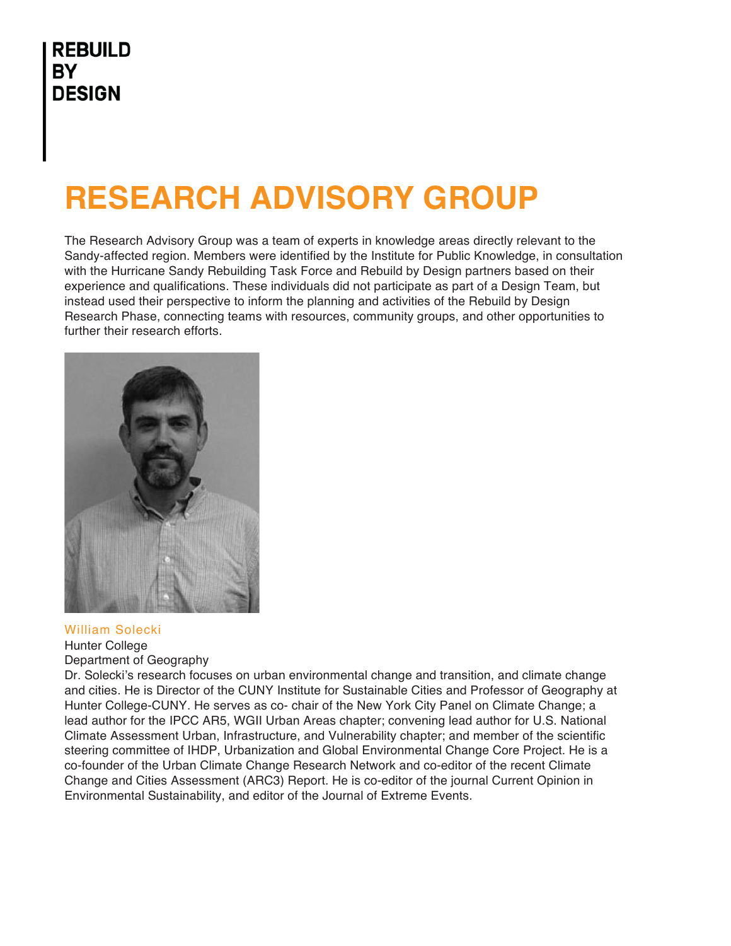# **RESEARCH ADVISORY GROUP**

The Research Advisory Group was a team of experts in knowledge areas directly relevant to the Sandy-affected region. Members were identified by the Institute for Public Knowledge, in consultation with the Hurricane Sandy Rebuilding Task Force and Rebuild by Design partners based on their experience and qualifications. These individuals did not participate as part of a Design Team, but instead used their perspective to inform the planning and activities of the Rebuild by Design Research Phase, connecting teams with resources, community groups, and other opportunities to further their research efforts.



#### William Solecki

## Hunter College

Department of Geography

Dr. Solecki's research focuses on urban environmental change and transition, and climate change and cities. He is Director of the CUNY Institute for Sustainable Cities and Professor of Geography at Hunter College-CUNY. He serves as co- chair of the New York City Panel on Climate Change; a lead author for the IPCC AR5, WGII Urban Areas chapter; convening lead author for U.S. National Climate Assessment Urban, Infrastructure, and Vulnerability chapter; and member of the scientific steering committee of IHDP, Urbanization and Global Environmental Change Core Project. He is a co-founder of the Urban Climate Change Research Network and co-editor of the recent Climate Change and Cities Assessment (ARC3) Report. He is co-editor of the journal Current Opinion in Environmental Sustainability, and editor of the Journal of Extreme Events.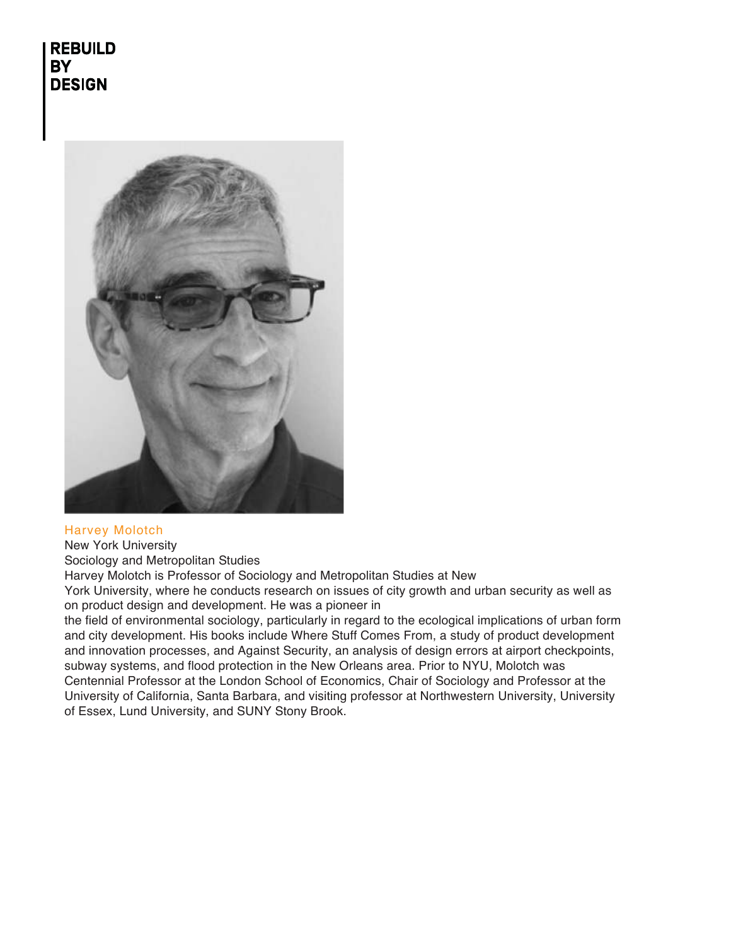

## Harvey Molotch

## New York University

Sociology and Metropolitan Studies

Harvey Molotch is Professor of Sociology and Metropolitan Studies at New

York University, where he conducts research on issues of city growth and urban security as well as on product design and development. He was a pioneer in

the field of environmental sociology, particularly in regard to the ecological implications of urban form and city development. His books include Where Stuff Comes From, a study of product development and innovation processes, and Against Security, an analysis of design errors at airport checkpoints, subway systems, and flood protection in the New Orleans area. Prior to NYU, Molotch was Centennial Professor at the London School of Economics, Chair of Sociology and Professor at the University of California, Santa Barbara, and visiting professor at Northwestern University, University of Essex, Lund University, and SUNY Stony Brook.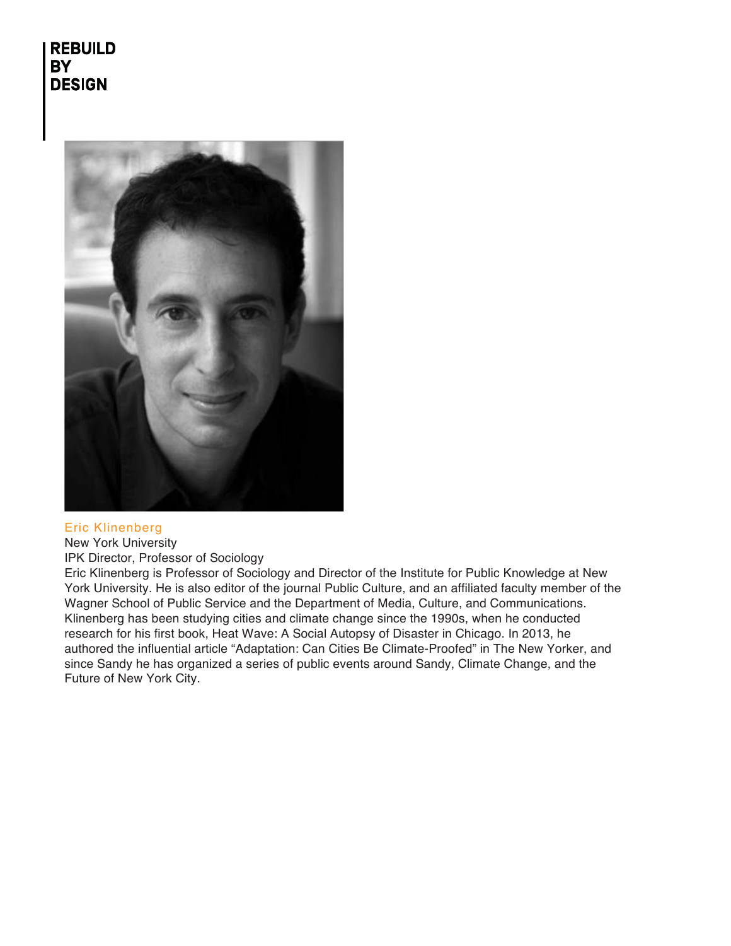

#### Eric Klinenberg

New York University

IPK Director, Professor of Sociology

Eric Klinenberg is Professor of Sociology and Director of the Institute for Public Knowledge at New York University. He is also editor of the journal Public Culture, and an affiliated faculty member of the Wagner School of Public Service and the Department of Media, Culture, and Communications. Klinenberg has been studying cities and climate change since the 1990s, when he conducted research for his first book, Heat Wave: A Social Autopsy of Disaster in Chicago. In 2013, he authored the influential article "Adaptation: Can Cities Be Climate-Proofed" in The New Yorker, and since Sandy he has organized a series of public events around Sandy, Climate Change, and the Future of New York City.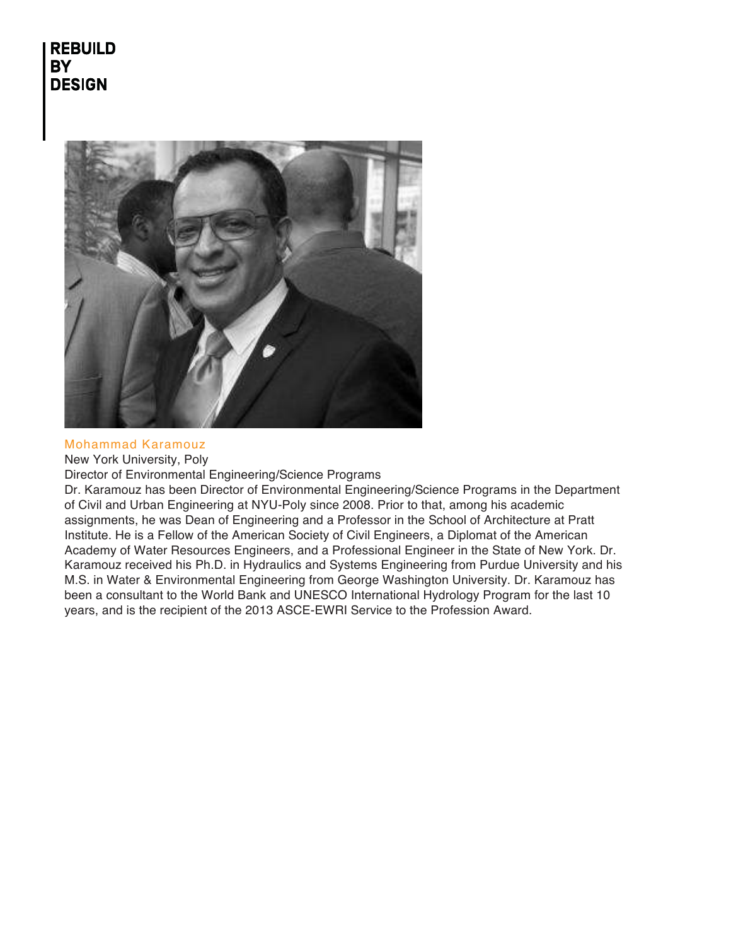

#### Mohammad Karamouz

New York University, Poly

Director of Environmental Engineering/Science Programs

Dr. Karamouz has been Director of Environmental Engineering/Science Programs in the Department of Civil and Urban Engineering at NYU-Poly since 2008. Prior to that, among his academic assignments, he was Dean of Engineering and a Professor in the School of Architecture at Pratt Institute. He is a Fellow of the American Society of Civil Engineers, a Diplomat of the American Academy of Water Resources Engineers, and a Professional Engineer in the State of New York. Dr. Karamouz received his Ph.D. in Hydraulics and Systems Engineering from Purdue University and his M.S. in Water & Environmental Engineering from George Washington University. Dr. Karamouz has been a consultant to the World Bank and UNESCO International Hydrology Program for the last 10 years, and is the recipient of the 2013 ASCE-EWRI Service to the Profession Award.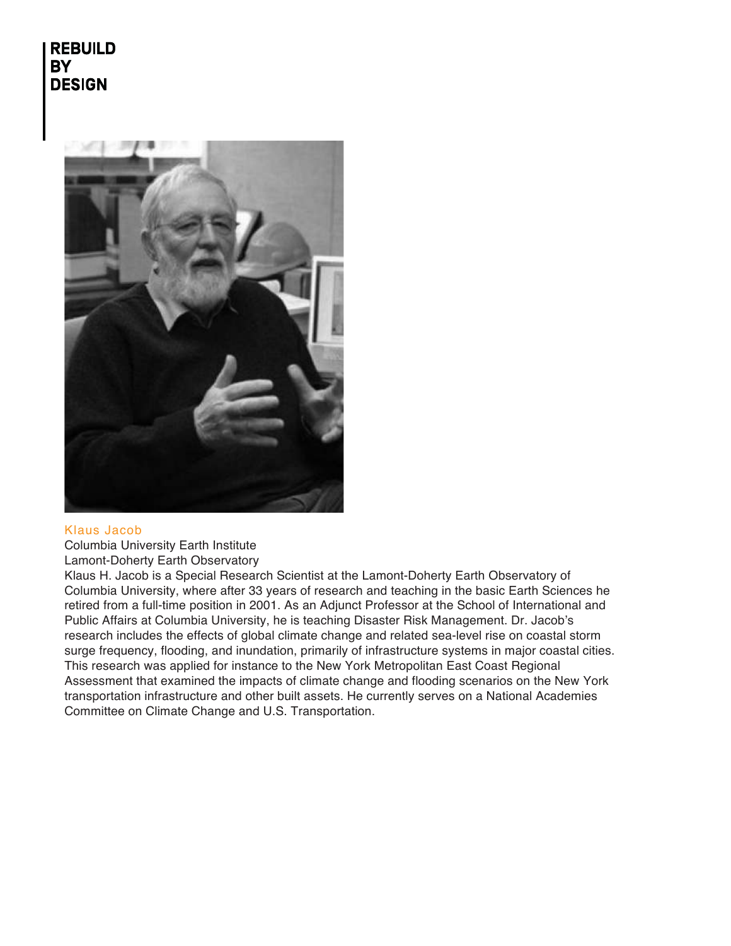

## Klaus Jacob

Columbia University Earth Institute Lamont-Doherty Earth Observatory

Klaus H. Jacob is a Special Research Scientist at the Lamont-Doherty Earth Observatory of Columbia University, where after 33 years of research and teaching in the basic Earth Sciences he retired from a full-time position in 2001. As an Adjunct Professor at the School of International and Public Affairs at Columbia University, he is teaching Disaster Risk Management. Dr. Jacob's research includes the effects of global climate change and related sea-level rise on coastal storm surge frequency, flooding, and inundation, primarily of infrastructure systems in major coastal cities. This research was applied for instance to the New York Metropolitan East Coast Regional Assessment that examined the impacts of climate change and flooding scenarios on the New York transportation infrastructure and other built assets. He currently serves on a National Academies Committee on Climate Change and U.S. Transportation.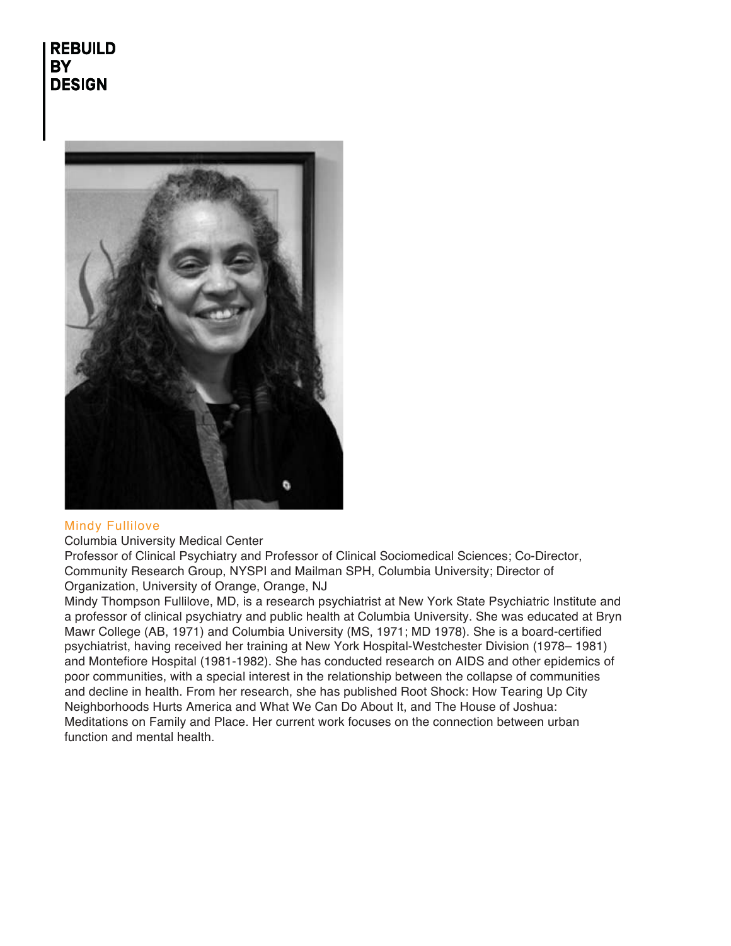

## Mindy Fullilove

Columbia University Medical Center

Professor of Clinical Psychiatry and Professor of Clinical Sociomedical Sciences; Co-Director, Community Research Group, NYSPI and Mailman SPH, Columbia University; Director of Organization, University of Orange, Orange, NJ

Mindy Thompson Fullilove, MD, is a research psychiatrist at New York State Psychiatric Institute and a professor of clinical psychiatry and public health at Columbia University. She was educated at Bryn Mawr College (AB, 1971) and Columbia University (MS, 1971; MD 1978). She is a board-certified psychiatrist, having received her training at New York Hospital-Westchester Division (1978– 1981) and Montefiore Hospital (1981-1982). She has conducted research on AIDS and other epidemics of poor communities, with a special interest in the relationship between the collapse of communities and decline in health. From her research, she has published Root Shock: How Tearing Up City Neighborhoods Hurts America and What We Can Do About It, and The House of Joshua: Meditations on Family and Place. Her current work focuses on the connection between urban function and mental health.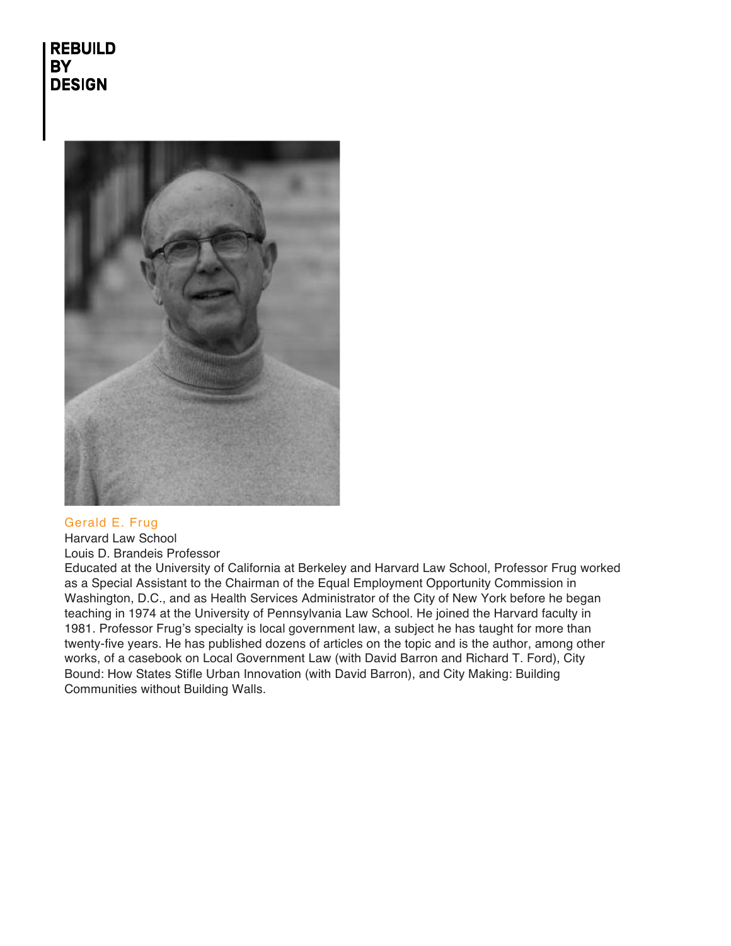

## Gerald E. Frug

Harvard Law School Louis D. Brandeis Professor

Educated at the University of California at Berkeley and Harvard Law School, Professor Frug worked as a Special Assistant to the Chairman of the Equal Employment Opportunity Commission in Washington, D.C., and as Health Services Administrator of the City of New York before he began teaching in 1974 at the University of Pennsylvania Law School. He joined the Harvard faculty in 1981. Professor Frug's specialty is local government law, a subject he has taught for more than twenty-five years. He has published dozens of articles on the topic and is the author, among other works, of a casebook on Local Government Law (with David Barron and Richard T. Ford), City Bound: How States Stifle Urban Innovation (with David Barron), and City Making: Building Communities without Building Walls.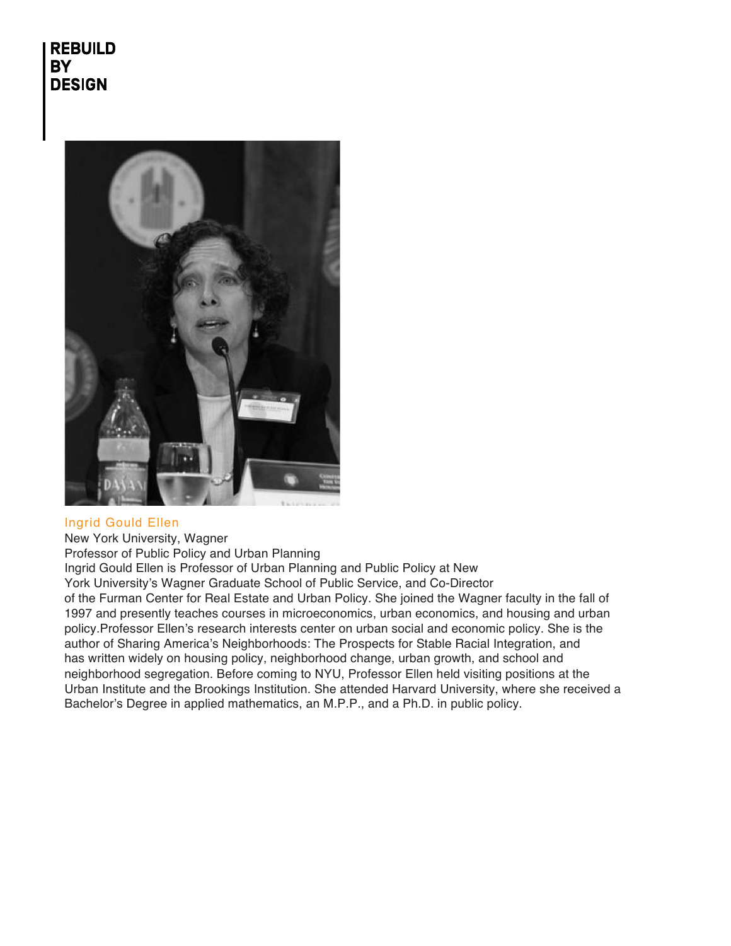

## Ingrid Gould Ellen

New York University, Wagner Professor of Public Policy and Urban Planning Ingrid Gould Ellen is Professor of Urban Planning and Public Policy at New York University's Wagner Graduate School of Public Service, and Co-Director of the Furman Center for Real Estate and Urban Policy. She joined the Wagner faculty in the fall of 1997 and presently teaches courses in microeconomics, urban economics, and housing and urban policy.Professor Ellen's research interests center on urban social and economic policy. She is the author of Sharing America's Neighborhoods: The Prospects for Stable Racial Integration, and has written widely on housing policy, neighborhood change, urban growth, and school and neighborhood segregation. Before coming to NYU, Professor Ellen held visiting positions at the Urban Institute and the Brookings Institution. She attended Harvard University, where she received a Bachelor's Degree in applied mathematics, an M.P.P., and a Ph.D. in public policy.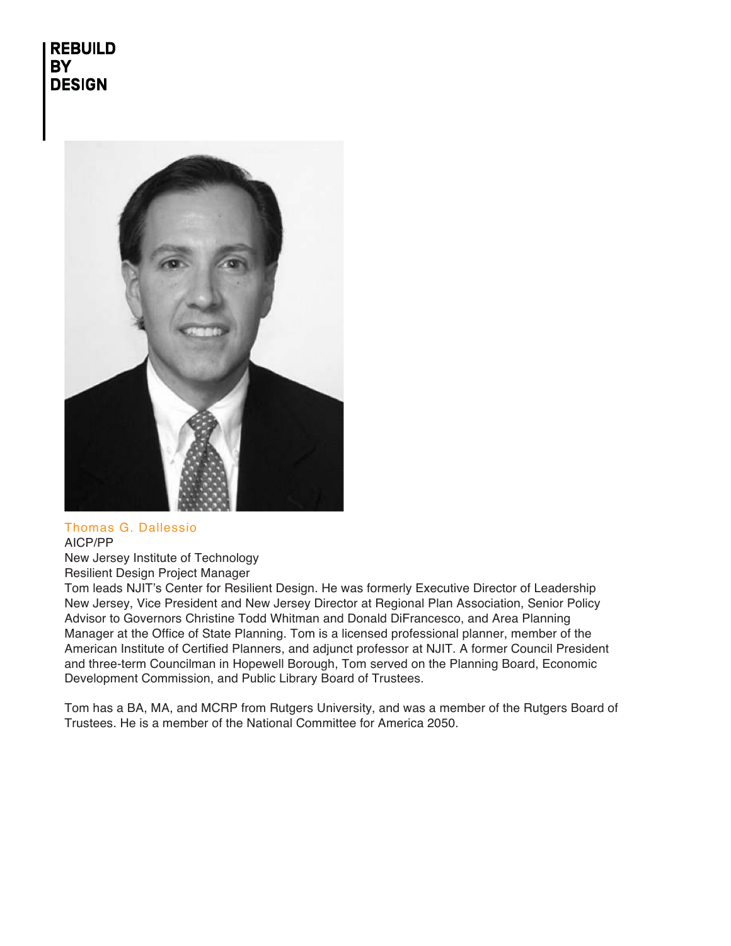

#### Thomas G. Dallessio AICP/PP

New Jersey Institute of Technology Resilient Design Project Manager

Tom leads NJIT's Center for Resilient Design. He was formerly Executive Director of Leadership New Jersey, Vice President and New Jersey Director at Regional Plan Association, Senior Policy Advisor to Governors Christine Todd Whitman and Donald DiFrancesco, and Area Planning Manager at the Office of State Planning. Tom is a licensed professional planner, member of the American Institute of Certified Planners, and adjunct professor at NJIT. A former Council President and three-term Councilman in Hopewell Borough, Tom served on the Planning Board, Economic Development Commission, and Public Library Board of Trustees.

Tom has a BA, MA, and MCRP from Rutgers University, and was a member of the Rutgers Board of Trustees. He is a member of the National Committee for America 2050.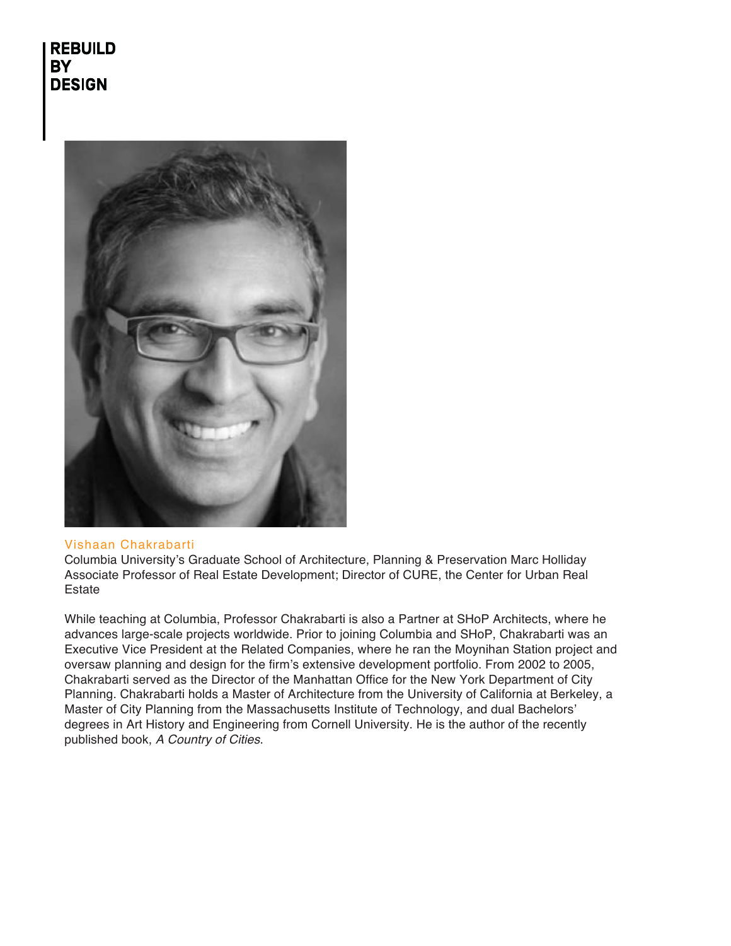

#### Vishaan Chakrabarti

Columbia University's Graduate School of Architecture, Planning & Preservation Marc Holliday Associate Professor of Real Estate Development; Director of CURE, the Center for Urban Real Estate

While teaching at Columbia, Professor Chakrabarti is also a Partner at SHoP Architects, where he advances large-scale projects worldwide. Prior to joining Columbia and SHoP, Chakrabarti was an Executive Vice President at the Related Companies, where he ran the Moynihan Station project and oversaw planning and design for the firm's extensive development portfolio. From 2002 to 2005, Chakrabarti served as the Director of the Manhattan Office for the New York Department of City Planning. Chakrabarti holds a Master of Architecture from the University of California at Berkeley, a Master of City Planning from the Massachusetts Institute of Technology, and dual Bachelors' degrees in Art History and Engineering from Cornell University. He is the author of the recently published book, A Country of Cities.